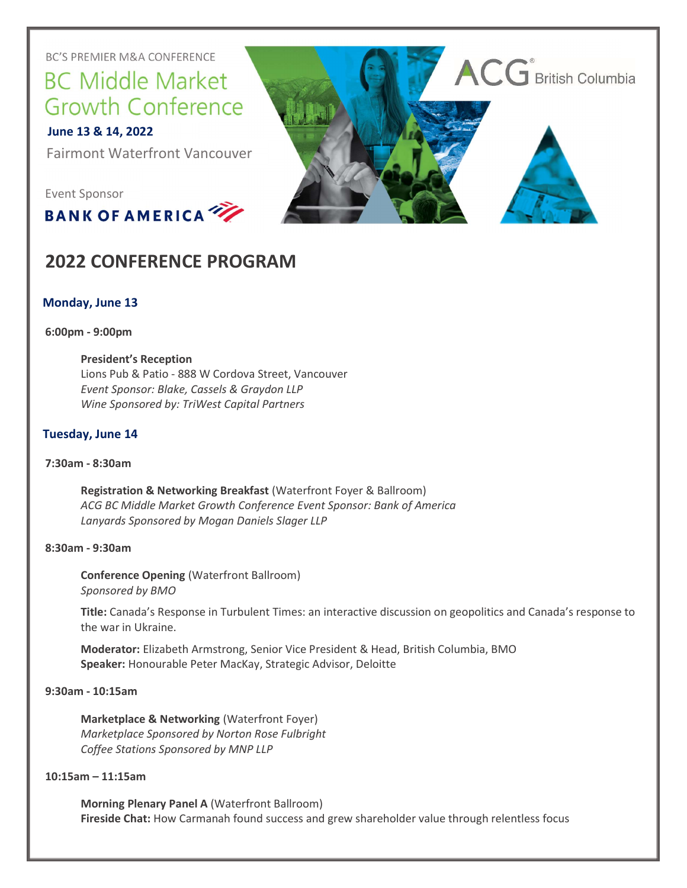BC'S PREMIER M&A CONFERENCE

## **BC Middle Market Growth Conference**

June 13 & 14, 2022

Fairmont Waterfront Vancouver

Event Sponsor





### 2022 CONFERENCE PROGRAM

#### Monday, June 13

6:00pm - 9:00pm

#### President's Reception

Lions Pub & Patio - 888 W Cordova Street, Vancouver Event Sponsor: Blake, Cassels & Graydon LLP Wine Sponsored by: TriWest Capital Partners

#### Tuesday, June 14

#### 7:30am - 8:30am

Registration & Networking Breakfast (Waterfront Foyer & Ballroom) ACG BC Middle Market Growth Conference Event Sponsor: Bank of America Lanyards Sponsored by Mogan Daniels Slager LLP

#### 8:30am - 9:30am

Conference Opening (Waterfront Ballroom) Sponsored by BMO

Title: Canada's Response in Turbulent Times: an interactive discussion on geopolitics and Canada's response to the war in Ukraine.

Moderator: Elizabeth Armstrong, Senior Vice President & Head, British Columbia, BMO Speaker: Honourable Peter MacKay, Strategic Advisor, Deloitte

#### 9:30am - 10:15am

Marketplace & Networking (Waterfront Foyer) Marketplace Sponsored by Norton Rose Fulbright Coffee Stations Sponsored by MNP LLP

#### 10:15am – 11:15am

Morning Plenary Panel A (Waterfront Ballroom) Fireside Chat: How Carmanah found success and grew shareholder value through relentless focus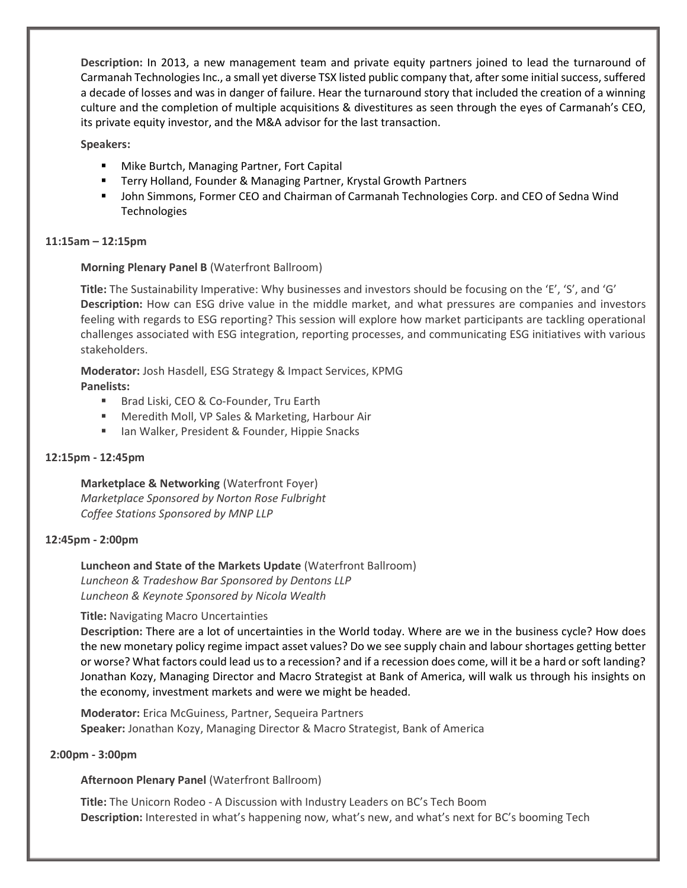Description: In 2013, a new management team and private equity partners joined to lead the turnaround of Carmanah Technologies Inc., a small yet diverse TSX listed public company that, after some initial success, suffered a decade of losses and was in danger of failure. Hear the turnaround story that included the creation of a winning culture and the completion of multiple acquisitions & divestitures as seen through the eyes of Carmanah's CEO, its private equity investor, and the M&A advisor for the last transaction.

#### Speakers:

- **Mike Burtch, Managing Partner, Fort Capital**
- Terry Holland, Founder & Managing Partner, Krystal Growth Partners
- **John Simmons, Former CEO and Chairman of Carmanah Technologies Corp. and CEO of Sedna Wind Technologies**

#### 11:15am – 12:15pm

#### Morning Plenary Panel B (Waterfront Ballroom)

Title: The Sustainability Imperative: Why businesses and investors should be focusing on the 'E', 'S', and 'G' **Description:** How can ESG drive value in the middle market, and what pressures are companies and investors feeling with regards to ESG reporting? This session will explore how market participants are tackling operational challenges associated with ESG integration, reporting processes, and communicating ESG initiatives with various stakeholders.

Moderator: Josh Hasdell, ESG Strategy & Impact Services, KPMG Panelists:

- **Brad Liski, CEO & Co-Founder, Tru Earth**
- Meredith Moll, VP Sales & Marketing, Harbour Air
- Ian Walker, President & Founder, Hippie Snacks

#### 12:15pm - 12:45pm

Marketplace & Networking (Waterfront Foyer) Marketplace Sponsored by Norton Rose Fulbright Coffee Stations Sponsored by MNP LLP

#### 12:45pm - 2:00pm

Luncheon and State of the Markets Update (Waterfront Ballroom) Luncheon & Tradeshow Bar Sponsored by Dentons LLP Luncheon & Keynote Sponsored by Nicola Wealth

#### Title: Navigating Macro Uncertainties

Description: There are a lot of uncertainties in the World today. Where are we in the business cycle? How does the new monetary policy regime impact asset values? Do we see supply chain and labour shortages getting better or worse? What factors could lead us to a recession? and if a recession does come, will it be a hard or soft landing? Jonathan Kozy, Managing Director and Macro Strategist at Bank of America, will walk us through his insights on the economy, investment markets and were we might be headed.

Moderator: Erica McGuiness, Partner, Sequeira Partners Speaker: Jonathan Kozy, Managing Director & Macro Strategist, Bank of America

#### 2:00pm - 3:00pm

Afternoon Plenary Panel (Waterfront Ballroom)

Title: The Unicorn Rodeo - A Discussion with Industry Leaders on BC's Tech Boom Description: Interested in what's happening now, what's new, and what's next for BC's booming Tech